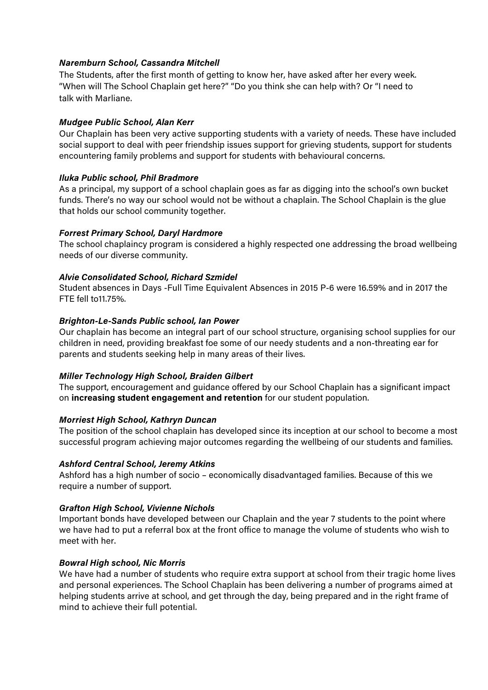### *Naremburn School, Cassandra Mitchell*

The Students, after the first month of getting to know her, have asked after her every week. "When will The School Chaplain get here?" "Do you think she can help with? Or "I need to talk with Marliane.

### *Mudgee Public School, Alan Kerr*

Our Chaplain has been very active supporting students with a variety of needs. These have included social support to deal with peer friendship issues support for grieving students, support for students encountering family problems and support for students with behavioural concerns.

### *Iluka Public school, Phil Bradmore*

As a principal, my support of a school chaplain goes as far as digging into the school's own bucket funds. There's no way our school would not be without a chaplain. The School Chaplain is the glue that holds our school community together.

## *Forrest Primary School, Daryl Hardmore*

The school chaplaincy program is considered a highly respected one addressing the broad wellbeing needs of our diverse community.

## *Alvie Consolidated School, Richard Szmidel*

Student absences in Days -Full Time Equivalent Absences in 2015 P-6 were 16.59% and in 2017 the FTE fell to11.75%.

## *Brighton-Le-Sands Public school, Ian Power*

Our chaplain has become an integral part of our school structure, organising school supplies for our children in need, providing breakfast foe some of our needy students and a non-threating ear for parents and students seeking help in many areas of their lives.

#### *Miller Technology High School, Braiden Gilbert*

The support, encouragement and guidance offered by our School Chaplain has a significant impact on **increasing student engagement and retention** for our student population.

#### *Morriest High School, Kathryn Duncan*

The position of the school chaplain has developed since its inception at our school to become a most successful program achieving major outcomes regarding the wellbeing of our students and families.

#### *Ashford Central School, Jeremy Atkins*

Ashford has a high number of socio – economically disadvantaged families. Because of this we require a number of support.

# *Grafton High School, Vivienne Nichols*

Important bonds have developed between our Chaplain and the year 7 students to the point where we have had to put a referral box at the front office to manage the volume of students who wish to meet with her.

#### *Bowral High school, Nic Morris*

We have had a number of students who require extra support at school from their tragic home lives and personal experiences. The School Chaplain has been delivering a number of programs aimed at helping students arrive at school, and get through the day, being prepared and in the right frame of mind to achieve their full potential.